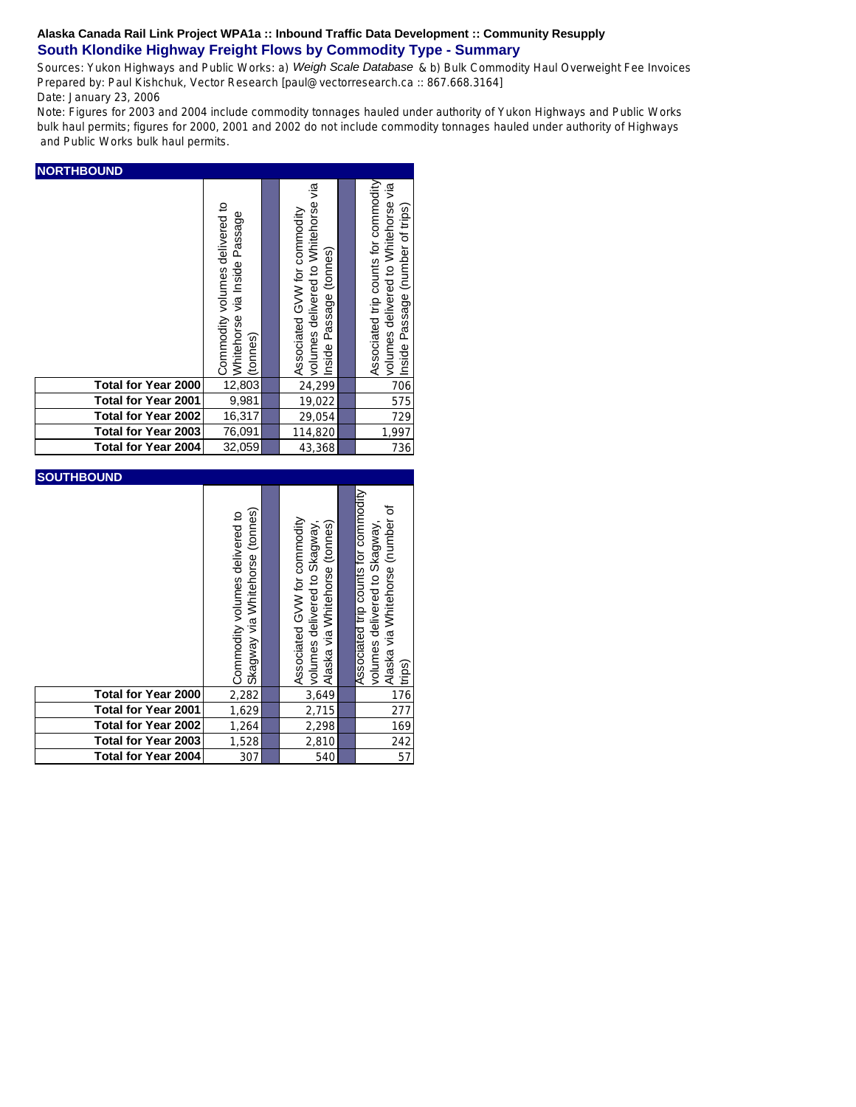Sources: Yukon Highways and Public Works: a) *Weigh Scale Database* & b) Bulk Commodity Haul Overweight Fee Invoices Prepared by: Paul Kishchuk, Vector Research [paul@vectorresearch.ca :: 867.668.3164] Date: January 23, 2006

Note: Figures for 2003 and 2004 include commodity tonnages hauled under authority of Yukon Highways and Public Works bulk haul permits; figures for 2000, 2001 and 2002 do not include commodity tonnages hauled under authority of Highways and Public Works bulk haul permits.

| <b>NORTHBOUND</b>          |                                                                             |  |                                                                                                |  |                                                                                                                 |  |  |  |
|----------------------------|-----------------------------------------------------------------------------|--|------------------------------------------------------------------------------------------------|--|-----------------------------------------------------------------------------------------------------------------|--|--|--|
|                            | Commodity volumes delivered to<br>Whitehorse via Inside Passage<br>(tonnes) |  | volumes delivered to Whitehorse via<br>Associated GVW for commodity<br>Inside Passage (tonnes) |  | Associated trip counts for commodity<br>volumes delivered to Whitehorse via<br>Inside Passage (number of trips) |  |  |  |
| <b>Total for Year 2000</b> | 12,803                                                                      |  | 24,299                                                                                         |  | 706                                                                                                             |  |  |  |
| <b>Total for Year 2001</b> | 9,981                                                                       |  | 19,022                                                                                         |  | 575                                                                                                             |  |  |  |
| <b>Total for Year 2002</b> | 16,317                                                                      |  | 29,054                                                                                         |  | 729                                                                                                             |  |  |  |
| Total for Year 2003        | 76,091                                                                      |  | 114,820                                                                                        |  | 1,997                                                                                                           |  |  |  |
| <b>Total for Year 2004</b> | 32,059                                                                      |  | 43,368                                                                                         |  | 736                                                                                                             |  |  |  |

| <b>SOUTHBOUND</b>          |                                                                      |  |                                                                                                 |  |                                                                                                                     |  |  |
|----------------------------|----------------------------------------------------------------------|--|-------------------------------------------------------------------------------------------------|--|---------------------------------------------------------------------------------------------------------------------|--|--|
|                            | (tonnes)<br>Commodity volumes delivered to<br>Skagway via Whitehorse |  | Associated GVW for commodity<br>volumes delivered to Skagway,<br>Alaska via Whitehorse (tonnes) |  | Associated trip counts for commodity<br>Alaska via Whitehorse (number of<br>volumes delivered to Skagway,<br>trips) |  |  |
| Total for Year 2000        | 2,282                                                                |  | 3,649                                                                                           |  | 176                                                                                                                 |  |  |
| <b>Total for Year 2001</b> | 1,629                                                                |  | 2,715                                                                                           |  | 277                                                                                                                 |  |  |
| <b>Total for Year 2002</b> | 1,264                                                                |  | 2,298                                                                                           |  | 169                                                                                                                 |  |  |
| Total for Year 2003        | 1,528                                                                |  | 2,810                                                                                           |  | 242                                                                                                                 |  |  |
| <b>Total for Year 2004</b> | 307                                                                  |  | 540                                                                                             |  | 57                                                                                                                  |  |  |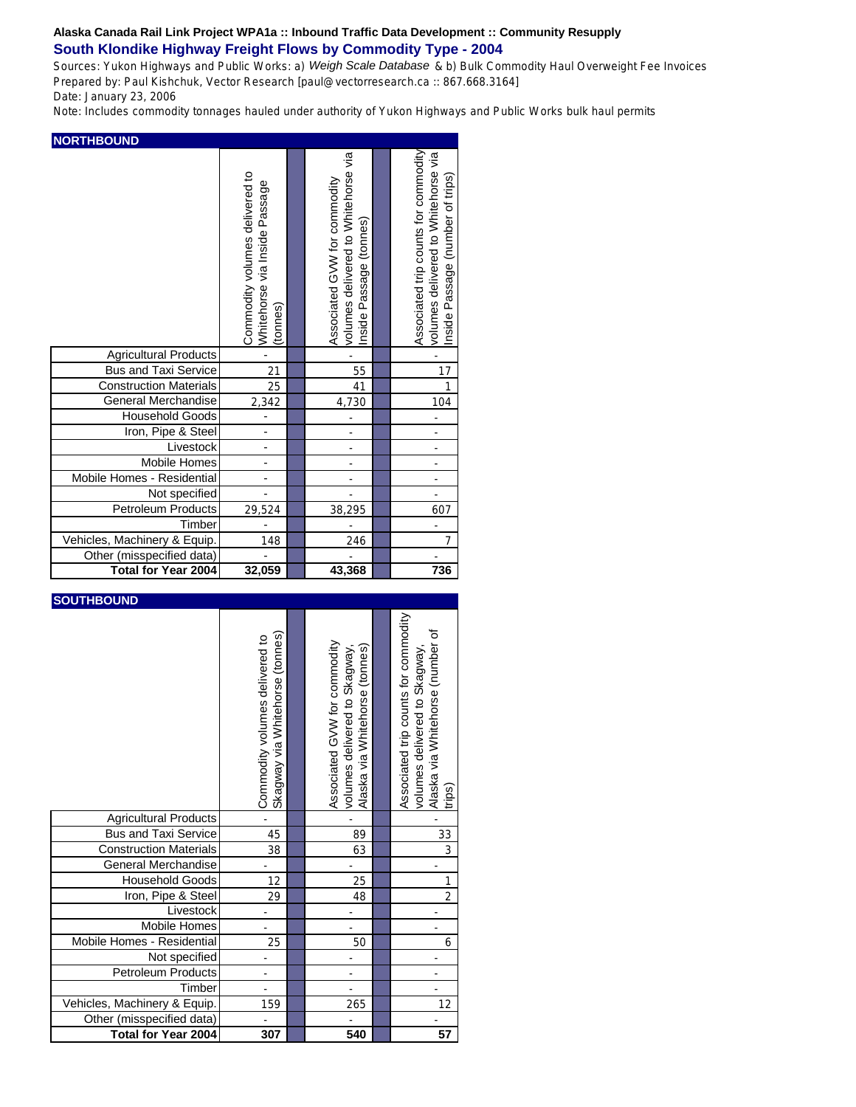Sources: Yukon Highways and Public Works: a) *Weigh Scale Database* & b) Bulk Commodity Haul Overweight Fee Invoices Prepared by: Paul Kishchuk, Vector Research [paul@vectorresearch.ca :: 867.668.3164] Date: January 23, 2006

Note: Includes commodity tonnages hauled under authority of Yukon Highways and Public Works bulk haul permits

|                               | Commodity volumes delivered to<br>Whitehorse via Inside Passage<br>(tonnes) | volumes delivered to Whitehorse via<br>Associated GVW for commodity<br>(tonnes)<br>Passage<br>Inside | Associated trip counts for commodity<br>volumes delivered to Whitehorse via<br>Inside Passage (number of trips) |
|-------------------------------|-----------------------------------------------------------------------------|------------------------------------------------------------------------------------------------------|-----------------------------------------------------------------------------------------------------------------|
| <b>Agricultural Products</b>  | L,                                                                          |                                                                                                      |                                                                                                                 |
| <b>Bus and Taxi Service</b>   | 21                                                                          | 55                                                                                                   | 17                                                                                                              |
| <b>Construction Materials</b> | 25                                                                          | 41                                                                                                   | $\mathbf{1}$                                                                                                    |
| <b>General Merchandise</b>    | 2,342                                                                       | 4,730                                                                                                | 104                                                                                                             |
| <b>Household Goods</b>        |                                                                             |                                                                                                      | ÷                                                                                                               |
| Iron, Pipe & Steel            | $\overline{\phantom{0}}$                                                    |                                                                                                      | ÷,                                                                                                              |
| Livestock                     | -                                                                           |                                                                                                      | ÷,                                                                                                              |
| <b>Mobile Homes</b>           |                                                                             | -                                                                                                    | ÷                                                                                                               |
| Mobile Homes - Residential    | -                                                                           |                                                                                                      |                                                                                                                 |
| Not specified                 | $\overline{\phantom{0}}$                                                    |                                                                                                      |                                                                                                                 |
| <b>Petroleum Products</b>     | 29,524                                                                      | 38,295                                                                                               | 607                                                                                                             |
| Timber                        |                                                                             |                                                                                                      |                                                                                                                 |
| Vehicles, Machinery & Equip.  | 148                                                                         | 246                                                                                                  | 7                                                                                                               |
| Other (misspecified data)     |                                                                             |                                                                                                      |                                                                                                                 |
| <b>Total for Year 2004</b>    | 32,059                                                                      | 43,368                                                                                               | 736                                                                                                             |

| <b>SOUTHBOUND</b>             |                                                                   |                                                                                                |                                                                                                                    |
|-------------------------------|-------------------------------------------------------------------|------------------------------------------------------------------------------------------------|--------------------------------------------------------------------------------------------------------------------|
|                               | Skagway via Whitehorse (tonnes)<br>Commodity volumes delivered to | Associated GVW for commodity<br>Alaska via Whitehorse (tonnes)<br>volumes delivered to Skagway | Associated trip counts for commodity<br>Alaska via Whitehorse (number of<br>volumes delivered to Skagway<br>trips) |
| <b>Agricultural Products</b>  |                                                                   |                                                                                                |                                                                                                                    |
| <b>Bus and Taxi Service</b>   | 45                                                                | 89                                                                                             | 33                                                                                                                 |
| <b>Construction Materials</b> | 38                                                                | 63                                                                                             | 3                                                                                                                  |
| General Merchandise           |                                                                   |                                                                                                |                                                                                                                    |
| <b>Household Goods</b>        | 12                                                                | 25                                                                                             | 1                                                                                                                  |
| Iron, Pipe & Steel            | 29                                                                | 48                                                                                             | $\overline{2}$                                                                                                     |
| Livestock                     |                                                                   |                                                                                                |                                                                                                                    |
| Mobile Homes                  |                                                                   |                                                                                                |                                                                                                                    |
| Mobile Homes - Residential    | 25                                                                | 50                                                                                             | 6                                                                                                                  |
| Not specified                 |                                                                   |                                                                                                |                                                                                                                    |
| Petroleum Products            | ÷                                                                 |                                                                                                | ÷                                                                                                                  |
| Timber                        |                                                                   |                                                                                                |                                                                                                                    |
| Vehicles, Machinery & Equip.  | 159                                                               | 265                                                                                            | 12                                                                                                                 |
| Other (misspecified data)     |                                                                   |                                                                                                |                                                                                                                    |
| Total for Year 2004           | 307                                                               | 540                                                                                            | 57                                                                                                                 |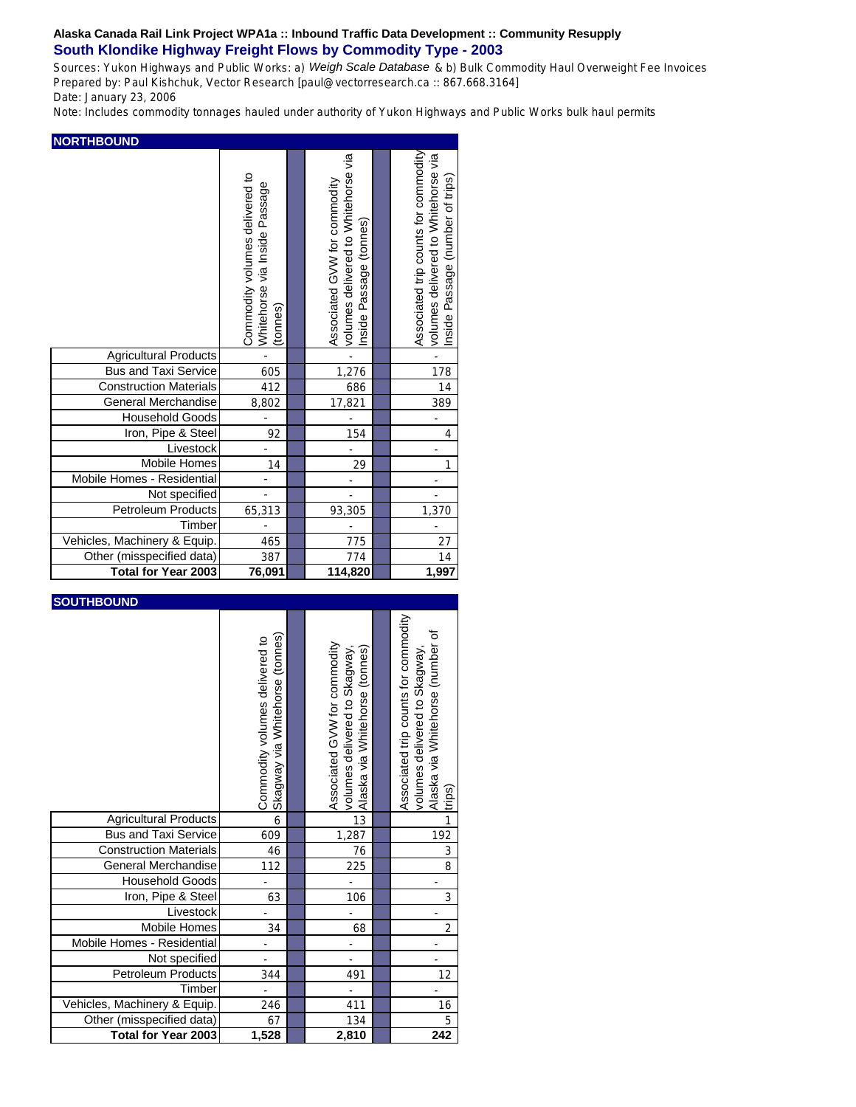Sources: Yukon Highways and Public Works: a) *Weigh Scale Database* & b) Bulk Commodity Haul Overweight Fee Invoices Prepared by: Paul Kishchuk, Vector Research [paul@vectorresearch.ca :: 867.668.3164] Date: January 23, 2006

Note: Includes commodity tonnages hauled under authority of Yukon Highways and Public Works bulk haul permits

|                               | Commodity volumes delivered to<br>Whitehorse via Inside Passage<br>(tonnes) | volumes delivered to Whitehorse via<br>Associated GVW for commodity<br>Passage (tonnes)<br>Inside | Associated trip counts for commodity<br>volumes delivered to Whitehorse via<br>Inside Passage (number of trips) |
|-------------------------------|-----------------------------------------------------------------------------|---------------------------------------------------------------------------------------------------|-----------------------------------------------------------------------------------------------------------------|
| <b>Agricultural Products</b>  |                                                                             |                                                                                                   |                                                                                                                 |
| <b>Bus and Taxi Service</b>   | 605                                                                         | 1,276                                                                                             | 178                                                                                                             |
| <b>Construction Materials</b> | 412                                                                         | 686                                                                                               | 14                                                                                                              |
| General Merchandise           | 8,802                                                                       | 17,821                                                                                            | 389                                                                                                             |
| <b>Household Goods</b>        |                                                                             |                                                                                                   |                                                                                                                 |
| Iron, Pipe & Steel            | 92                                                                          | 154                                                                                               | $\overline{4}$                                                                                                  |
| Livestock                     |                                                                             |                                                                                                   |                                                                                                                 |
| <b>Mobile Homes</b>           | 14                                                                          | 29                                                                                                |                                                                                                                 |
| Mobile Homes - Residential    |                                                                             |                                                                                                   |                                                                                                                 |
| Not specified                 | $\overline{a}$                                                              |                                                                                                   |                                                                                                                 |
| <b>Petroleum Products</b>     | 65,313                                                                      | 93,305                                                                                            | 1,370                                                                                                           |
| Timber                        |                                                                             |                                                                                                   |                                                                                                                 |
| Vehicles, Machinery & Equip.  | 465                                                                         | 775                                                                                               | 27                                                                                                              |
| Other (misspecified data)     | 387                                                                         | 774                                                                                               | 14                                                                                                              |
| <b>Total for Year 2003</b>    | 76,091                                                                      | 114,820                                                                                           | 1,997                                                                                                           |

| <b>SOUTHBOUND</b>             |                                                                   |                                                                                                |                                                                                                                    |
|-------------------------------|-------------------------------------------------------------------|------------------------------------------------------------------------------------------------|--------------------------------------------------------------------------------------------------------------------|
|                               | Skagway via Whitehorse (tonnes)<br>Commodity volumes delivered to | Associated GVW for commodity<br>Alaska via Whitehorse (tonnes)<br>volumes delivered to Skagway | Associated trip counts for commodity<br>Alaska via Whitehorse (number of<br>volumes delivered to Skagway<br>trips) |
| <b>Agricultural Products</b>  | 6                                                                 | 13                                                                                             | 1                                                                                                                  |
| <b>Bus and Taxi Service</b>   | 609                                                               | 1,287                                                                                          | 192                                                                                                                |
| <b>Construction Materials</b> | 46                                                                | 76                                                                                             | 3                                                                                                                  |
| General Merchandise           | 112                                                               | 225                                                                                            | 8                                                                                                                  |
| <b>Household Goods</b>        |                                                                   |                                                                                                |                                                                                                                    |
| Iron, Pipe & Steel            | 63                                                                | 106                                                                                            | 3                                                                                                                  |
| Livestock                     |                                                                   |                                                                                                |                                                                                                                    |
| <b>Mobile Homes</b>           | 34                                                                | 68                                                                                             | $\overline{2}$                                                                                                     |
| Mobile Homes - Residential    |                                                                   |                                                                                                |                                                                                                                    |
| Not specified                 |                                                                   |                                                                                                |                                                                                                                    |
| <b>Petroleum Products</b>     | 344                                                               | 491                                                                                            | 12                                                                                                                 |
| Timber                        |                                                                   | ÷                                                                                              |                                                                                                                    |
| Vehicles, Machinery & Equip.  | 246                                                               | 411                                                                                            | 16                                                                                                                 |
| Other (misspecified data)     | 67                                                                | 134                                                                                            | 5                                                                                                                  |
| Total for Year 2003           | 1,528                                                             | 2,810                                                                                          | 242                                                                                                                |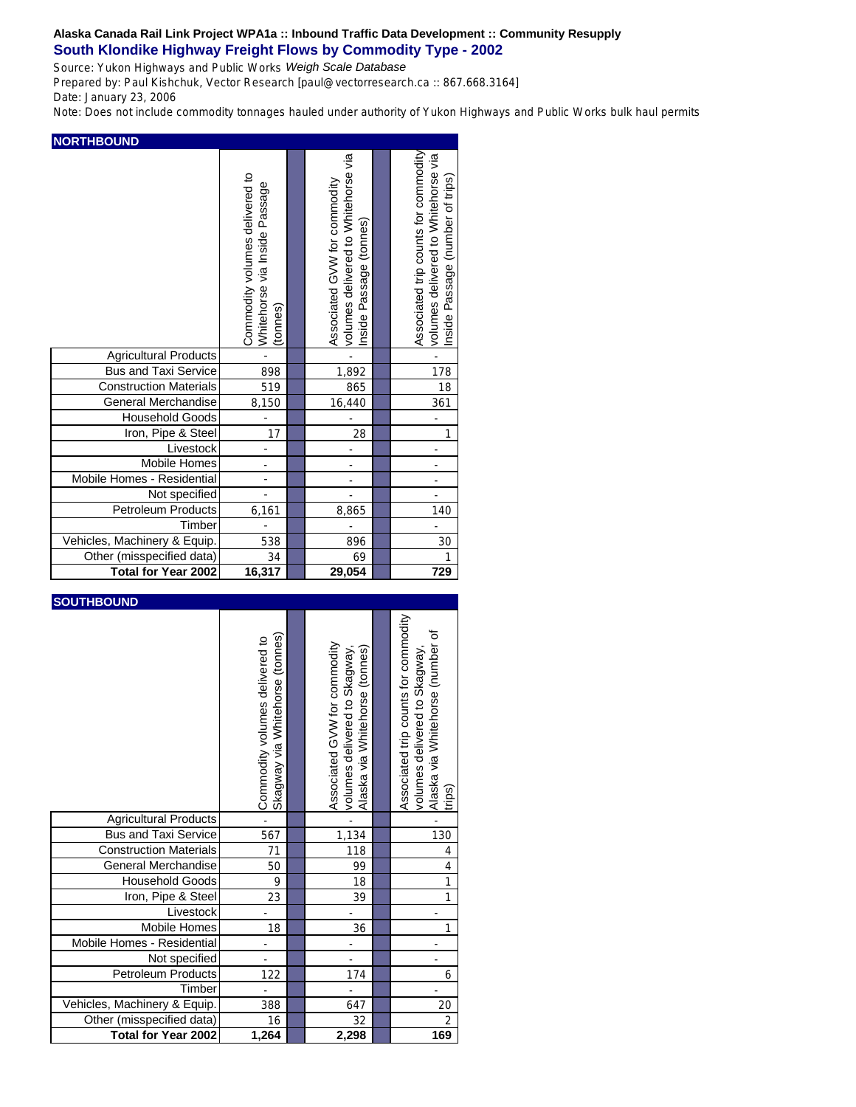Source: Yukon Highways and Public Works *Weigh Scale Database*

Prepared by: Paul Kishchuk, Vector Research [paul@vectorresearch.ca :: 867.668.3164] Date: January 23, 2006

Note: Does not include commodity tonnages hauled under authority of Yukon Highways and Public Works bulk haul permits

|                               | Commodity volumes delivered to<br>via Inside Passage<br>Whitehorse<br>(tonnes) | volumes delivered to Whitehorse via<br>Associated GVW for commodity<br>Passage (tonnes)<br>Inside | Associated trip counts for commodity<br>volumes delivered to Whitehorse via<br>Inside Passage (number of trips) |
|-------------------------------|--------------------------------------------------------------------------------|---------------------------------------------------------------------------------------------------|-----------------------------------------------------------------------------------------------------------------|
| <b>Agricultural Products</b>  |                                                                                |                                                                                                   |                                                                                                                 |
| <b>Bus and Taxi Service</b>   | 898                                                                            | 1,892                                                                                             | 178                                                                                                             |
| <b>Construction Materials</b> | 519                                                                            | 865                                                                                               | 18                                                                                                              |
| General Merchandise           | 8,150                                                                          | 16,440                                                                                            | 361                                                                                                             |
| <b>Household Goods</b>        |                                                                                |                                                                                                   |                                                                                                                 |
| Iron, Pipe & Steel            | 17                                                                             | 28                                                                                                | 1                                                                                                               |
| Livestock                     |                                                                                |                                                                                                   |                                                                                                                 |
| <b>Mobile Homes</b>           | ÷,                                                                             | ÷,                                                                                                | ÷,                                                                                                              |
| Mobile Homes - Residential    |                                                                                | ÷,                                                                                                | ÷,                                                                                                              |
| Not specified                 | $\overline{a}$                                                                 |                                                                                                   |                                                                                                                 |
| <b>Petroleum Products</b>     | 6,161                                                                          | 8,865                                                                                             | 140                                                                                                             |
| Timber                        |                                                                                |                                                                                                   |                                                                                                                 |
| Vehicles, Machinery & Equip.  | 538                                                                            | 896                                                                                               | 30                                                                                                              |
| Other (misspecified data)     | 34                                                                             | 69                                                                                                |                                                                                                                 |
| <b>Total for Year 2002</b>    | 16,317                                                                         | 29,054                                                                                            | 729                                                                                                             |

| <b>SOUTHBOUND</b> |
|-------------------|
|-------------------|

|                               | (tonnes)<br>Commodity volumes delivered to<br>Skagway via Whitehorse | Associated GVW for commodity<br>volumes delivered to Skagway,<br>Alaska via Whitehorse (tonnes) | Associated trip counts for commodity<br>Alaska via Whitehorse (number of<br>volumes delivered to Skagway<br>trips) |
|-------------------------------|----------------------------------------------------------------------|-------------------------------------------------------------------------------------------------|--------------------------------------------------------------------------------------------------------------------|
| Agricultural Products         |                                                                      |                                                                                                 |                                                                                                                    |
| <b>Bus and Taxi Service</b>   | 567                                                                  | 1,134                                                                                           | 130                                                                                                                |
| <b>Construction Materials</b> | 71                                                                   | 118                                                                                             | 4                                                                                                                  |
| <b>General Merchandise</b>    | 50                                                                   | 99                                                                                              | $\overline{4}$                                                                                                     |
| <b>Household Goods</b>        | 9                                                                    | 18                                                                                              |                                                                                                                    |
| Iron, Pipe & Steel            | 23                                                                   | 39                                                                                              |                                                                                                                    |
| Livestock                     |                                                                      |                                                                                                 |                                                                                                                    |
| <b>Mobile Homes</b>           | 18                                                                   | 36                                                                                              |                                                                                                                    |
| Mobile Homes - Residential    |                                                                      |                                                                                                 |                                                                                                                    |
| Not specified                 |                                                                      |                                                                                                 |                                                                                                                    |
| <b>Petroleum Products</b>     | 122                                                                  | 174                                                                                             | 6                                                                                                                  |
| Timber                        |                                                                      |                                                                                                 |                                                                                                                    |
| Vehicles, Machinery & Equip.  | 388                                                                  | 647                                                                                             | 20                                                                                                                 |
| Other (misspecified data)     | 16                                                                   | 32                                                                                              | $\overline{2}$                                                                                                     |
| <b>Total for Year 2002</b>    | 1,264                                                                | 2,298                                                                                           | 169                                                                                                                |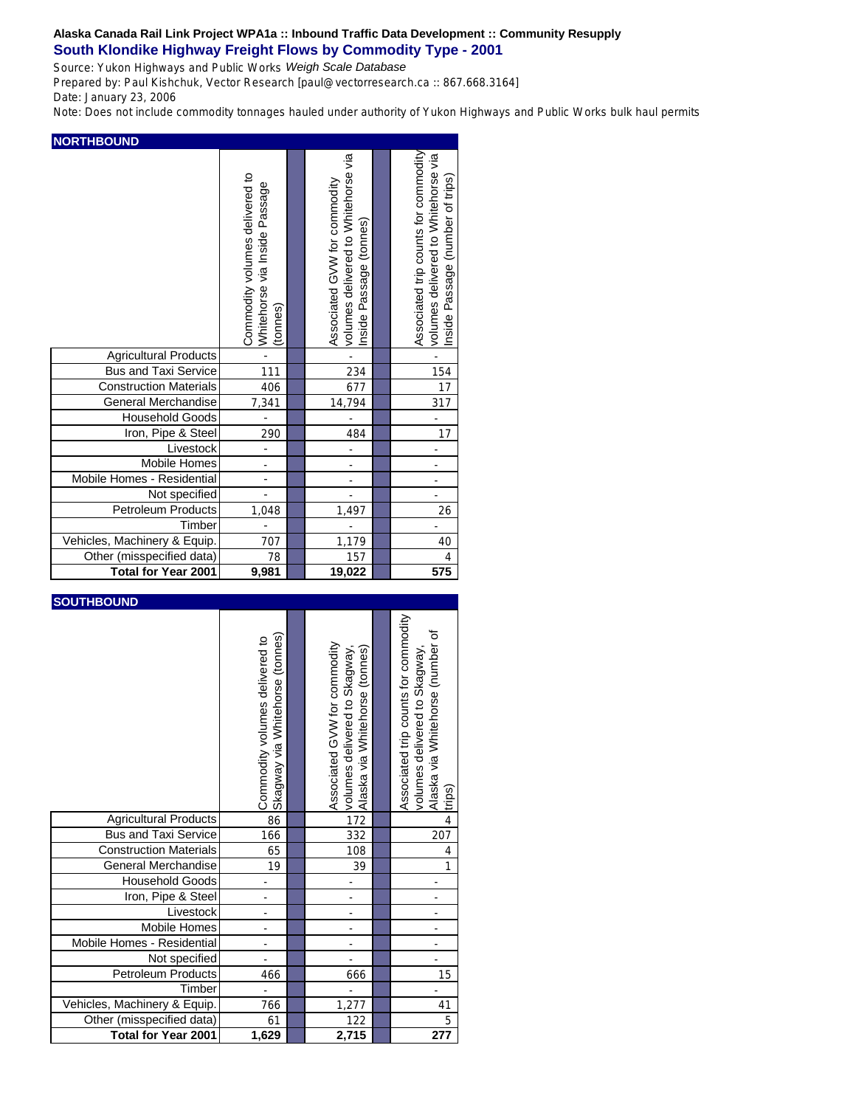Source: Yukon Highways and Public Works *Weigh Scale Database*

Prepared by: Paul Kishchuk, Vector Research [paul@vectorresearch.ca :: 867.668.3164] Date: January 23, 2006

Note: Does not include commodity tonnages hauled under authority of Yukon Highways and Public Works bulk haul permits

|                               | Commodity volumes delivered to<br>via Inside Passage<br>Whitehorse<br>(tonnes) | volumes delivered to Whitehorse via<br>Associated GVW for commodity<br>Passage (tonnes)<br>Inside | Associated trip counts for commodity<br>volumes delivered to Whitehorse via<br>Inside Passage (number of trips) |
|-------------------------------|--------------------------------------------------------------------------------|---------------------------------------------------------------------------------------------------|-----------------------------------------------------------------------------------------------------------------|
| <b>Agricultural Products</b>  |                                                                                |                                                                                                   |                                                                                                                 |
| <b>Bus and Taxi Service</b>   | 111                                                                            | 234                                                                                               | 154                                                                                                             |
| <b>Construction Materials</b> | 406                                                                            | 677                                                                                               | 17                                                                                                              |
| General Merchandise           | 7,341                                                                          | 14,794                                                                                            | 317                                                                                                             |
| <b>Household Goods</b>        |                                                                                |                                                                                                   |                                                                                                                 |
| Iron, Pipe & Steel            | 290                                                                            | 484                                                                                               | 17                                                                                                              |
| Livestock                     | $\overline{a}$                                                                 | $\overline{a}$                                                                                    | ÷,                                                                                                              |
| <b>Mobile Homes</b>           | ÷,                                                                             | ÷,                                                                                                | L,                                                                                                              |
| Mobile Homes - Residential    |                                                                                | ÷,                                                                                                | ÷,                                                                                                              |
| Not specified                 | $\overline{a}$                                                                 |                                                                                                   | L.                                                                                                              |
| <b>Petroleum Products</b>     | 1,048                                                                          | 1,497                                                                                             | 26                                                                                                              |
| Timber                        |                                                                                |                                                                                                   |                                                                                                                 |
| Vehicles, Machinery & Equip.  | 707                                                                            | 1,179                                                                                             | 40                                                                                                              |
| Other (misspecified data)     | 78                                                                             | 157                                                                                               | $\overline{4}$                                                                                                  |
| <b>Total for Year 2001</b>    | 9,981                                                                          | 19,022                                                                                            | 575                                                                                                             |

| <b>SOUTHBOUND</b>             |                                                                      |                                                                                                 |                                                                                                                    |
|-------------------------------|----------------------------------------------------------------------|-------------------------------------------------------------------------------------------------|--------------------------------------------------------------------------------------------------------------------|
|                               | (tonnes)<br>Commodity volumes delivered to<br>Skagway via Whitehorse | Associated GVW for commodity<br>volumes delivered to Skagway,<br>Alaska via Whitehorse (tonnes) | Associated trip counts for commodity<br>Alaska via Whitehorse (number of<br>volumes delivered to Skagway<br>trips) |
| <b>Agricultural Products</b>  | 86                                                                   | 172                                                                                             | $\overline{4}$                                                                                                     |
| <b>Bus and Taxi Service</b>   | 166                                                                  | 332                                                                                             | 207                                                                                                                |
| <b>Construction Materials</b> | 65                                                                   | 108                                                                                             | $\overline{4}$                                                                                                     |
| General Merchandise           | 19                                                                   | 39                                                                                              | 1                                                                                                                  |
| <b>Household Goods</b>        |                                                                      |                                                                                                 |                                                                                                                    |
| Iron, Pipe & Steel            |                                                                      |                                                                                                 |                                                                                                                    |
| Livestock                     |                                                                      |                                                                                                 |                                                                                                                    |
| <b>Mobile Homes</b>           | ÷,                                                                   | ÷,                                                                                              | ÷,                                                                                                                 |
| Mobile Homes - Residential    | ÷                                                                    |                                                                                                 | ÷,                                                                                                                 |
| Not specified                 |                                                                      |                                                                                                 | $\frac{1}{2}$                                                                                                      |
| <b>Petroleum Products</b>     | 466                                                                  | 666                                                                                             | 15                                                                                                                 |
| Timber                        |                                                                      |                                                                                                 |                                                                                                                    |
| Vehicles, Machinery & Equip.  | 766                                                                  | 1,277                                                                                           | 41                                                                                                                 |
| Other (misspecified data)     | 61                                                                   | 122                                                                                             | 5                                                                                                                  |
| <b>Total for Year 2001</b>    | 1,629                                                                | 2,715                                                                                           | 277                                                                                                                |